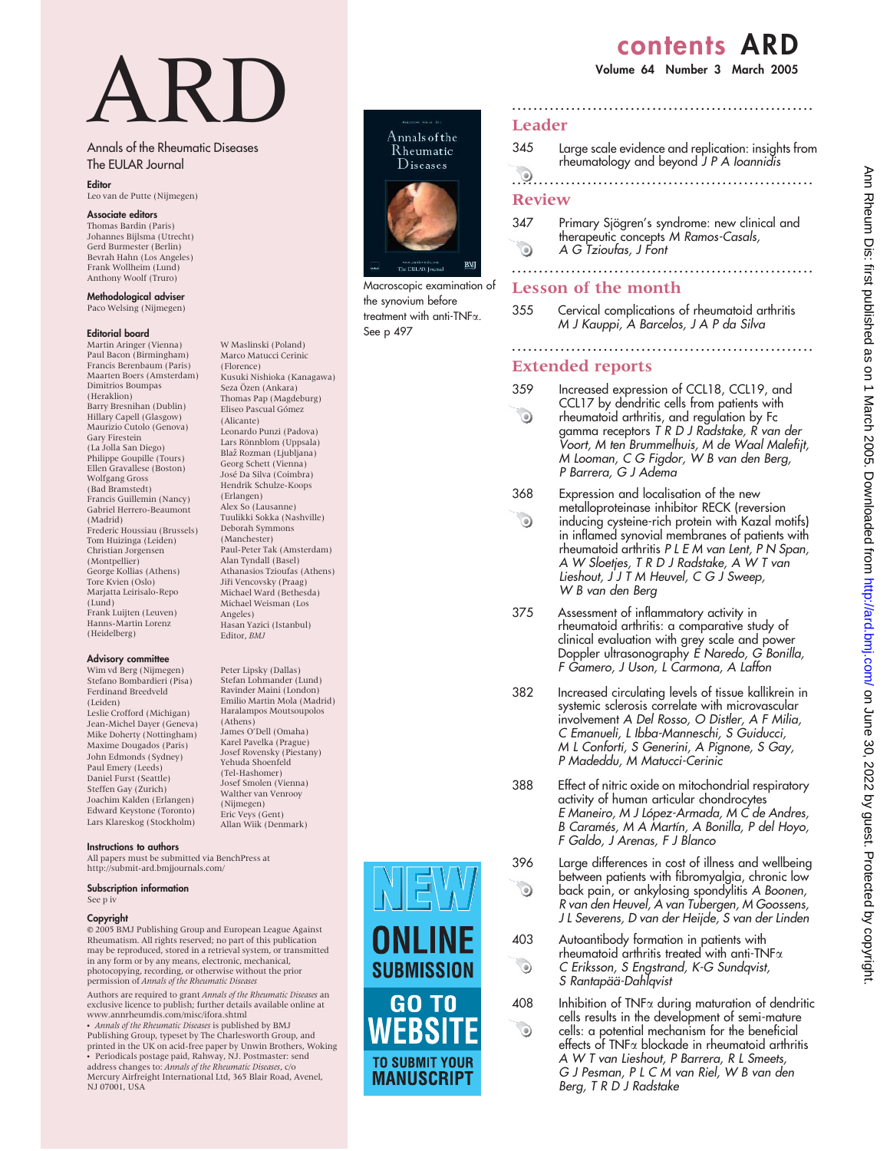# contents ARD

Volume 64 Number 3 March 2005

# ARD

W Maslinski (Poland) Marco Matucci Cerinic (Florence)

Kusuki Nishioka (Kanagawa) Seza Özen (Ankara) Thomas Pap (Magdeburg) Eliseo Pascual Gómez (Alicante) Leonardo Punzi (Padova) Lars Rönnblom (Uppsala) Blaž Rozman (Ljubljana) Georg Schett (Vienna) Jose´ Da Silva (Coimbra) Hendrik Schulze-Koops (Erlangen) Alex So (Lausanne) Tuulikki Sokka (Nashville) Deborah Symmons (Manchester)

Paul-Peter Tak (Amsterdam) Alan Tyndall (Basel) Athanasios Tzioufas (Athens) Jiři Vencovsky (Praag) Michael Ward (Bethesda) Michael Weisman (Los

Hasan Yazici (Istanbul) Editor, BMJ

Peter Lipsky (Dallas) Stefan Lohmander (Lund) Ravinder Maini (London) Emilio Martin Mola (Madrid) Haralampos Moutsoupolos

Angeles)

(Athens) James O'Dell (Omaha) Karel Pavelka (Prague) Josef Rovensky (Piestany) Yehuda Shoenfeld (Tel-Hashomer) Josef Smolen (Vienna) Walther van Venrooy (Nijmegen) Eric Veys (Gent) Allan Wiik (Denmark)

#### Annals of the Rheumatic Diseases The EULAR Journal

#### **Editor**

Leo van de Putte (Nijmegen)

#### Associate editors

Thomas Bardin (Paris) Johannes Bijlsma (Utrecht) Gerd Burmester (Berlin) Bevrah Hahn (Los Angeles) Frank Wollheim (Lund) Anthony Woolf (Truro)

Methodological adviser Paco Welsing (Nijmegen)

#### Editorial board

Martin Aringer (Vienna) Paul Bacon (Birmingham) Francis Berenbaum (Paris) Maarten Boers (Amsterdam) Dimitrios Boumpas (Heraklion) Barry Bresnihan (Dublin) Hillary Capell (Glasgow) Maurizio Cutolo (Genova) Gary Firestein (La Jolla San Diego) Philippe Goupille (Tours) Ellen Gravallese (Boston) Wolfgang Gross (Bad Bramstedt) Francis Guillemin (Nancy) Gabriel Herrero-Beaumont (Madrid) Frederic Houssiau (Brussels) Tom Huizinga (Leiden) Christian Jorgensen (Montpellier) George Kollias (Athens) Tore Kvien (Oslo) Marjatta Leirisalo-Repo (Lund) Frank Luijten (Leuven) Hanns-Martin Lorenz (Heidelberg)

#### Advisory committee

Wim vd Berg (Nijmegen) Stefano Bombardieri (Pisa) Ferdinand Breedveld (Leiden) Leslie Crofford (Michigan) Jean-Michel Dayer (Geneva) Mike Doherty (Nottingham) Maxime Dougados (Paris) John Edmonds (Sydney) Paul Emery (Leeds) Daniel Furst (Seattle) Steffen Gay (Zurich) Joachim Kalden (Erlangen) Edward Keystone (Toronto) Lars Klareskog (Stockholm)

Instructions to authors

All papers must be submitted via BenchPress at http://submit-ard.bmjjournals.com/

#### Subscription information

See p iv

#### Copyright

E 2005 BMJ Publishing Group and European League Against Rheumatism. All rights reserved; no part of this publication may be reproduced, stored in a retrieval system, or transmitted in any form or by any means, electronic, mechanical, photocopying, recording, or otherwise without the prior permission of Annals of the Rheumatic Diseases

Authors are required to grant Annals of the Rheumatic Diseases an exclusive licence to publish; further details available online at www.annrheumdis.com/misc/ifora.shtml

• Annals of the Rheumatic Diseases is published by BMJ Publishing Group, typeset by The Charlesworth Group, and printed in the UK on acid-free paper by Unwin Brothers, Woking • Periodicals postage paid, Rahway, NJ. Postmaster: send<br>address changes to: Annals of the Rheumatic Diseases, c/o

Mercury Airfreight International Ltd, 365 Blair Road, Avenel, NJ 07001, USA



Macroscopic examination of the synovium before treatment with anti-TNFa. See p 497

SUBMISSION



 $\odot$ 

 $\odot$ 

 $\odot$ 

### Leader

345 Large scale evidence and replication: insights from rheumatology and beyond J P A Ioannidis

........................................................

# ........................................................ Review

## 347 Primary Sjögren's syndrome: new clinical and therapeutic concepts M Ramos-Casals,

 $\bullet$ A G Tzioufas, J Font

........................................................ Lesson of the month

355 Cervical complications of rheumatoid arthritis M J Kauppi, A Barcelos, J A P da Silva

........................................................

# Extended reports

- 359 Increased expression of CCL18, CCL19, and CCL17 by dendritic cells from patients with  $\odot$ rheumatoid arthritis, and regulation by Fc gamma receptors T R D J Radstake, R van der Voort, M ten Brummelhuis, M de Waal Malefijt, M Looman, C G Figdor, W B van den Berg, P Barrera, G J Adema
- 368 Expression and localisation of the new metalloproteinase inhibitor RECK (reversion  $\odot$ inducing cysteine-rich protein with Kazal motifs) in inflamed synovial membranes of patients with rheumatoid arthritis P L E M van Lent, P N Span, A W Sloetjes, T R D J Radstake, A W T van Lieshout, J J T M Heuvel, C G J Sweep, W B van den Berg
- 375 Assessment of inflammatory activity in rheumatoid arthritis: a comparative study of clinical evaluation with grey scale and power Doppler ultrasonography E Naredo, G Bonilla, F Gamero, J Uson, L Carmona, A Laffon
- 382 Increased circulating levels of tissue kallikrein in systemic sclerosis correlate with microvascular involvement A Del Rosso, O Distler, A F Milia, C Emanueli, L Ibba-Manneschi, S Guiducci, M L Conforti, S Generini, A Pignone, S Gay, P Madeddu, M Matucci-Cerinic
- 388 Effect of nitric oxide on mitochondrial respiratory activity of human articular chondrocytes E Maneiro, M J López-Armada, M C de Andres, B Caramés, M A Martín, A Bonilla, P del Hoyo, F Galdo, J Arenas, F J Blanco
- 396 Large differences in cost of illness and wellbeing between patients with fibromyalgia, chronic low back pain, or ankylosing spondylitis A Boonen, R van den Heuvel, A van Tubergen, M Goossens, J L Severens, D van der Heijde, S van der Linden
- 403 Autoantibody formation in patients with rheumatoid arthritis treated with anti-TNF $\alpha$ C Eriksson, S Engstrand, K-G Sundqvist, S Rantapää-Dahlqvist
- $408$  Inhibition of TNF $\alpha$  during maturation of dendritic cells results in the development of semi-mature cells: a potential mechanism for the beneficial effects of TNFa blockade in rheumatoid arthritis A W T van Lieshout, P Barrera, R L Smeets, G J Pesman, P L C M van Riel, W B van den Berg, T R D J Radstake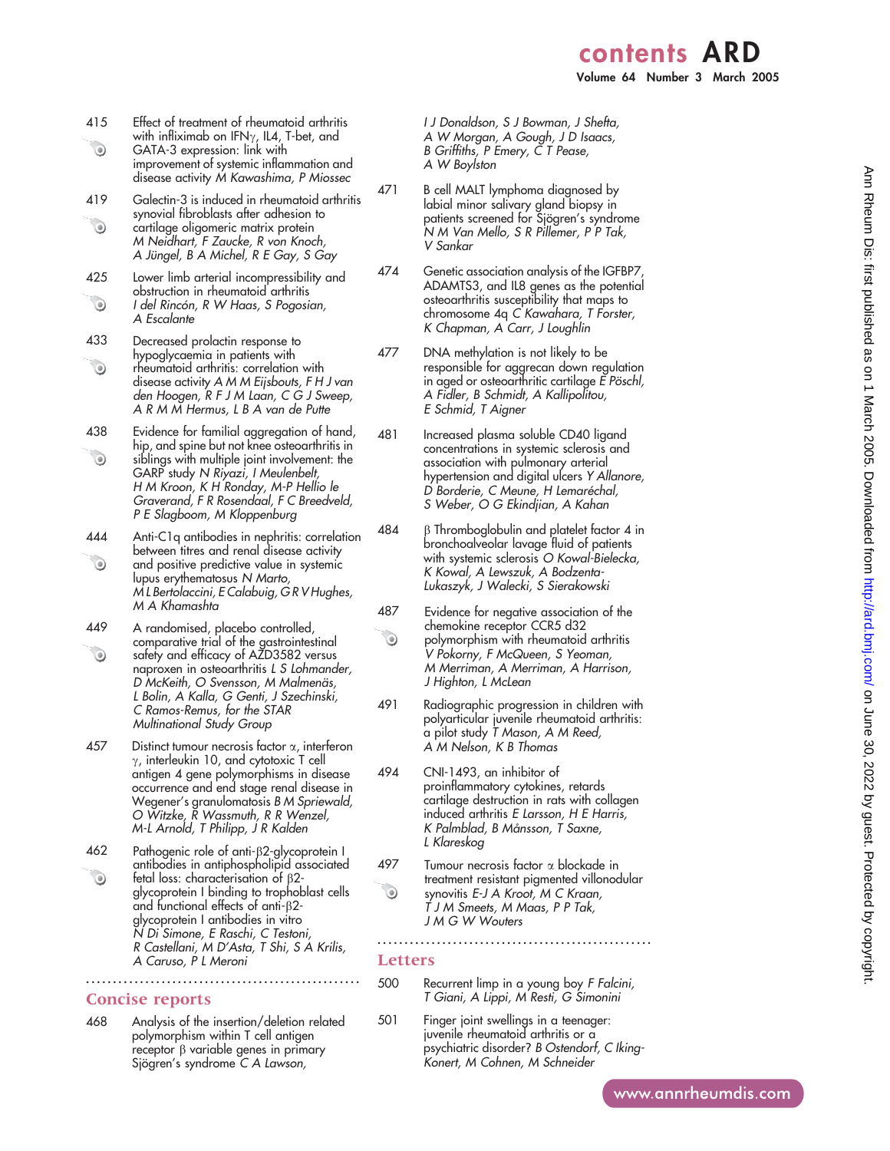- 415 Effect of treatment of rheumatoid arthritis with infliximab on IFN $\gamma$ , IL4, T-bet, and
- $\odot$ GATA-3 expression: link with improvement of systemic inflammation and disease activity M Kawashima, P Miossec
- 419 Galectin-3 is induced in rheumatoid arthritis synovial fibroblasts after adhesion to  $\odot$ cartilage oligomeric matrix protein M Neidhart, F Zaucke, R von Knoch, A Jüngel, B A Michel, R E Gay, S Gay
- 425 Lower limb arterial incompressibility and obstruction in rheumatoid arthritis  $\odot$ I del Rincón, R W Haas, S Pogosian, A Escalante
- 433 Decreased prolactin response to hypoglycaemia in patients with  $\odot$ rheumatoid arthritis: correlation with disease activity A M M Eijsbouts, F H J van den Hoogen, R F J M Laan, C G J Sweep, A R M M Hermus, L B A van de Putte
- 438 Evidence for familial aggregation of hand, hip, and spine but not knee osteoarthritis in  $\odot$ siblings with multiple joint involvement: the GARP study N Riyazi, I Meulenbelt, H M Kroon, K H Ronday, M-P Hellio le Graverand, F R Rosendaal, F C Breedveld, P E Slagboom, M Kloppenburg
- 444 Anti-C1q antibodies in nephritis: correlation between titres and renal disease activity  $\odot$ and positive predictive value in systemic lupus erythematosus N Marto, M L Bertolaccini, E Calabuig, G R V Hughes, M A Khamashta
- 449 A randomised, placebo controlled, comparative trial of the gastrointestinal  $\odot$ safety and efficacy of AZD3582 versus naproxen in osteoarthritis L S Lohmander, D McKeith, O Svensson, M Malmenäs, L Bolin, A Kalla, G Genti, J Szechinski, C Ramos-Remus, for the STAR Multinational Study Group
- 457 Distinct tumour necrosis factor  $\alpha$ , interferon  $\gamma$ , interleukin 10, and cytotoxic T cell antigen 4 gene polymorphisms in disease occurrence and end stage renal disease in Wegener's granulomatosis B M Spriewald, O Witzke, R Wassmuth, R R Wenzel, M-L Arnold, T Philipp, J R Kalden
- $462$  Pathogenic role of anti- $\beta$ 2-glycoprotein I antibodies in antiphospholipid associated  $\odot$ fetal loss: characterisation of b2 glycoprotein I binding to trophoblast cells and functional effects of anti- $\beta$ 2glycoprotein I antibodies in vitro N Di Simone, E Raschi, C Testoni, R Castellani, M D'Asta, T Shi, S A Krilis, A Caruso, P L Meroni

#### Concise reports

468 Analysis of the insertion/deletion related polymorphism within T cell antigen receptor  $\beta$  variable genes in primary Sjögren's syndrome C A Lawson,

...................................................

I J Donaldson, S J Bowman, J Shefta, A W Morgan, A Gough, J D Isaacs, B Griffiths, P Emery, C T Pease, A W Boylston

- 471 B cell MALT lymphoma diagnosed by labial minor salivary gland biopsy in patients screened for Sjögren's syndrome N M Van Mello, S R Pillemer, P P Tak, V Sankar
- 474 Genetic association analysis of the IGFBP7, ADAMTS3, and IL8 genes as the potential osteoarthritis susceptibility that maps to chromosome 4q C Kawahara, T Forster, K Chapman, A Carr, J Loughlin
- 477 DNA methylation is not likely to be responsible for aggrecan down regulation in aged or osteoarthritic cartilage E Pöschl, A Fidler, B Schmidt, A Kallipolitou, E Schmid, T Aigner
- 481 Increased plasma soluble CD40 ligand concentrations in systemic sclerosis and association with pulmonary arterial hypertension and digital ulcers Y Allanore, D Borderie, C Meune, H Lemaréchal, S Weber, O G Ekindjian, A Kahan
- $484$   $\beta$  Thromboglobulin and platelet factor 4 in bronchoalveolar lavage fluid of patients with systemic sclerosis O Kowal-Bielecka, K Kowal, A Lewszuk, A Bodzenta-Lukaszyk, J Walecki, S Sierakowski
- 487 Evidence for negative association of the chemokine receptor CCR5 d32  $\odot$ polymorphism with rheumatoid arthritis V Pokorny, F McQueen, S Yeoman, M Merriman, A Merriman, A Harrison, J Highton, L McLean
- 491 Radiographic progression in children with polyarticular juvenile rheumatoid arthritis: a pilot study T Mason, A M Reed, A M Nelson, K B Thomas
- 494 CNI-1493, an inhibitor of proinflammatory cytokines, retards cartilage destruction in rats with collagen induced arthritis E Larsson, H E Harris, K Palmblad, B Månsson, T Saxne, L Klareskog
- 497 Tumour necrosis factor  $\alpha$  blockade in treatment resistant pigmented villonodular  $\begin{picture}(220,20) \put(0,0){\line(1,0){10}} \put(15,0){\line(1,0){10}} \put(15,0){\line(1,0){10}} \put(15,0){\line(1,0){10}} \put(15,0){\line(1,0){10}} \put(15,0){\line(1,0){10}} \put(15,0){\line(1,0){10}} \put(15,0){\line(1,0){10}} \put(15,0){\line(1,0){10}} \put(15,0){\line(1,0){10}} \put(15,0){\line(1,0){10}} \put(15,0){\line($ synovitis E-J A Kroot, M C Kraan, T J M Smeets, M Maas, P P Tak, J M G W Wouters

...................................................

# Letters

- 500 Recurrent limp in a young boy F Falcini, T Giani, A Lippi, M Resti, G Simonini
- 501 Finger joint swellings in a teenager: juvenile rheumatoid arthritis or a psychiatric disorder? B Ostendorf, C Iking-Konert, M Cohnen, M Schneider